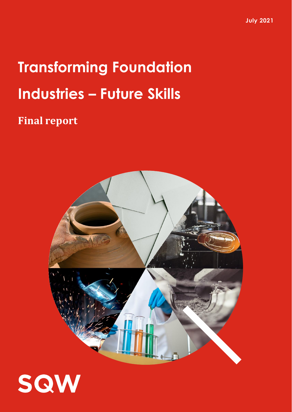**July 2021**

## **Transforming Foundation Industries – Future Skills**

## **Final report**



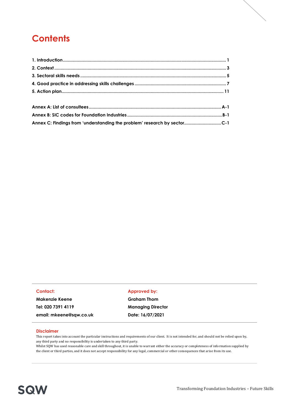## **Contents**

| Annex C: Findings from 'understanding the problem' research by sector C-1 |  |
|---------------------------------------------------------------------------|--|

#### **Contact:**

**Makenzie Keene Tel: 020 7391 4119 email: mkeene@sqw.co.uk**

#### **Approved by:**

**Graham Thom Managing Director Date: 16/07/2021**

#### **Disclaimer**

This report takes into account the particular instructions and requirements of our client. It is not intended for, and should not be relied upon by, any third party and no responsibility is undertaken to any third party.

Whilst SQW has used reasonable care and skill throughout, it is unable to warrant either the accuracy or completeness of information supplied by the client or third parties, and it does not accept responsibility for any legal, commercial or other consequences that arise from its use.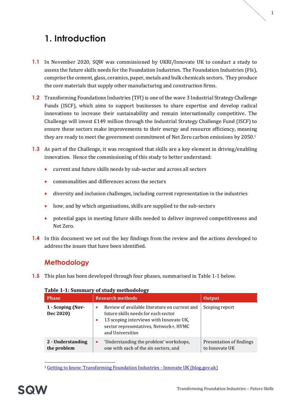## <span id="page-2-0"></span>**1. Introduction**

- **1.1** In November 2020, SQW was commissioned by UKRI/Innovate UK to conduct a study to assess the future skills needs for the Foundation Industries. The Foundation Industries (FIs), comprise the cement, glass, ceramics, paper, metals and bulk chemicals sectors. They produce the core materials that supply other manufacturing and construction firms.
- **1.2** Transforming Foundations Industries (TFI) is one of the wave 3 Industrial Strategy Challenge Funds (ISCF), which aims to support businesses to share expertise and develop radical innovations to increase their sustainability and remain internationally competitive. The Challenge will invest £149 million through the Industrial Strategy Challenge Fund (ISCF) to ensure these sectors make improvements to their energy and resource efficiency, meaning they are ready to meet the government commitment of [Net Zero carbon emissions](https://www.gov.uk/government/news/uk-becomes-first-major-economy-to-pass-net-zero-emissions-law) by 2050. 1
- **1.3** As part of the Challenge, it was recognised that skills are a key element in driving/enabling innovation. Hence the commissioning of this study to better understand:
	- current and future skills needs by sub-sector and across all sectors
	- commonalities and differences across the sectors
	- diversity and inclusion challenges, including current representation in the industries
	- how, and by which organisations, skills are supplied to the sub-sectors
	- potential gaps in meeting future skills needed to deliver improved competitiveness and Net Zero.
- **1.4** In this document we set out the key findings from the review and the actions developed to address the issues that have been identified.

#### **Methodology**

**1.5** This plan has been developed through four phases, summarised i[n Table 1-1](#page-2-1) below.

| <b>Phase</b>                     | <b>Research methods</b>                                                                                                                                                                                                 | <b>Output</b>                              |
|----------------------------------|-------------------------------------------------------------------------------------------------------------------------------------------------------------------------------------------------------------------------|--------------------------------------------|
| 1 - Scoping (Nov-<br>Dec 2020)   | Review of available literature on current and<br>$\bullet$<br>future skills needs for each sector<br>13 scoping interviews with Innovate UK,<br>$\bullet$<br>sector representatives, Network+, HVMC<br>and Universities | Scoping report                             |
| 2 - Understanding<br>the problem | 'Understanding the problem' workshops,<br>$\bullet$<br>one with each of the six sectors, and                                                                                                                            | Presentation of findings<br>to Innovate UK |

#### <span id="page-2-1"></span>**Table 1-1: Summary of study methodology**

<sup>1</sup> [Getting to know: Transforming Foundation Industries -](https://innovateuk.blog.gov.uk/2020/08/20/getting-to-know-transforming-foundation-industries/) Innovate UK (blog.gov.uk)

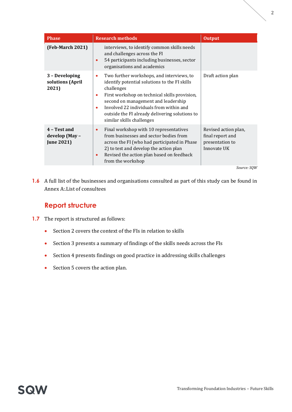| <b>Phase</b>                                        | <b>Research methods</b>                                                                                                                                                                                                                                                                                                                           | <b>Output</b>                                                              |
|-----------------------------------------------------|---------------------------------------------------------------------------------------------------------------------------------------------------------------------------------------------------------------------------------------------------------------------------------------------------------------------------------------------------|----------------------------------------------------------------------------|
| <b>(Feb-March 2021)</b>                             | interviews, to identify common skills needs<br>and challenges across the FI<br>54 participants including businesses, sector<br>$\bullet$<br>organisations and academics                                                                                                                                                                           |                                                                            |
| 3 - Developing<br>solutions (April<br>2021)         | Two further workshops, and interviews, to<br>$\bullet$<br>identify potential solutions to the FI skills<br>challenges<br>First workshop on technical skills provision,<br>۰<br>second on management and leadership<br>Involved 22 individuals from within and<br>٠<br>outside the FI already delivering solutions to<br>similar skills challenges | Draft action plan                                                          |
| 4 - Test and<br>develop (May -<br><b>June 2021)</b> | Final workshop with 10 representatives<br>$\bullet$<br>from businesses and sector bodies from<br>across the FI (who had participated in Phase<br>2) to test and develop the action plan<br>Revised the action plan based on feedback<br>$\bullet$<br>from the workshop                                                                            | Revised action plan,<br>final report and<br>presentation to<br>Innovate UK |
|                                                     |                                                                                                                                                                                                                                                                                                                                                   | Source: SOW                                                                |

**1.6** A full list of the businesses and organisations consulted as part of this study can be found in [Annex A:.List of consultees](#page-16-0)

#### **Report structure**

- **1.7** The report is structured as follows:
	- Section 2 covers the context of the FIs in relation to skills
	- Section 3 presents a summary of findings of the skills needs across the FIs
	- Section 4 presents findings on good practice in addressing skills challenges
	- Section 5 covers the action plan.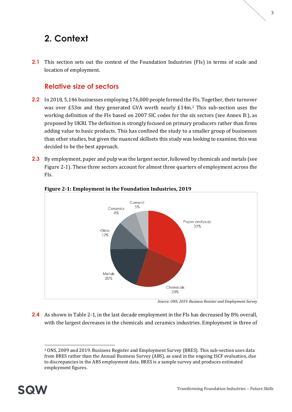## <span id="page-4-0"></span>**2. Context**

**2.1** This section sets out the context of the Foundation Industries (FIs) in terms of scale and location of employment.

#### **Relative size of sectors**

- **2.2** In 2018, 5,146 businesses employing 176,000 people formed the FIs. Together, their turnover was over £53m and they generated GVA worth nearly £14m.<sup>2</sup> This sub-section uses the working definition of the FIs based on 2007 SIC codes for the six sectors (see [Annex B:\)](#page-18-0), as proposed by UKRI. The definition is strongly focused on primary producers rather than firms adding value to basic products. This has confined the study to a smaller group of businesses than other studies, but given the nuanced skillsets this study was looking to examine, this was decided to be the best approach.
- **2.3** By employment, paper and pulp was the largest sector, followed by chemicals and metals (see Figure 2-1). These three sectors account for almost three quarters of employment across the FIs.



#### **Figure 2-1: Employment in the Foundation Industries, 2019**

**2.4** As shown in [Table 2-1,](#page-5-0) in the last decade employment in the FIs has decreased by 8% overall, with the largest decreases in the chemicals and ceramics industries. Employment in three of

<sup>2</sup> ONS, 2009 and 2019. Business Register and Employment Survey (BRES). This sub-section uses data from BRES rather than the Annual Business Survey (ABS), as used in the ongoing ISCF evaluation, due to discrepancies in the ABS employment data. BRES is a sample survey and produces estimated employment figures.



*Source: ONS, 2019. Business Resister and Employment Survey*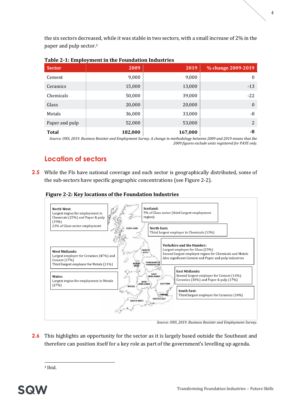the six sectors decreased, while it was stable in two sectors, with a small increase of 2% in the paper and pulp sector.<sup>3</sup>

| <b>Sector</b>   | 2009    | 2019    | % change 2009-2019 |
|-----------------|---------|---------|--------------------|
| Cement          | 9,000   | 9,000   | $\boldsymbol{0}$   |
| <b>Ceramics</b> | 15,000  | 13,000  | $-13$              |
| Chemicals       | 50,000  | 39,000  | $-22$              |
| Glass           | 20,000  | 20,000  | $\mathbf{0}$       |
| Metals          | 36,000  | 33,000  | -8                 |
| Paper and pulp  | 52,000  | 53,000  | $\overline{2}$     |
| <b>Total</b>    | 182,000 | 167,000 | -8                 |

#### <span id="page-5-0"></span>**Table 2-1: Employment in the Foundation Industries**

*Source: ONS, 2019. Business Resister and Employment Survey. A change in methodology between 2009 and 2019 means that the 2009 figures exclude units registered for PAYE only.*

### **Location of sectors**

**2.5** While the FIs have national coverage and each sector is geographically distributed, some of the sub-sectors have specific geographic concentrations (see [Figure 2-2\)](#page-5-1).

<span id="page-5-1"></span>



*Source: ONS, 2019. Business Resister and Employment Survey.*

2.6 This highlights an opportunity for the sector as it is largely based outside the Southeast and therefore can position itself for a key role as part of the government's levelling up agenda.

<sup>3</sup> Ibid.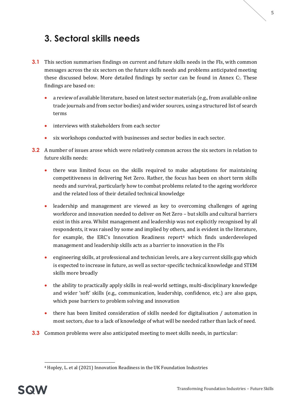<span id="page-6-0"></span>**3. Sectoral skills needs**

- **3.1** This section summarises findings on current and future skills needs in the FIs, with common messages across the six sectors on the future skills needs and problems anticipated meeting these discussed below. More detailed findings by sector can be found in [Annex C:.](#page-20-0) These findings are based on:
	- a review of available literature, based on latest sector materials (e.g., from available online trade journals and from sector bodies) and wider sources, using a structured list of search terms
	- interviews with stakeholders from each sector
	- six workshops conducted with businesses and sector bodies in each sector.
- <span id="page-6-1"></span>**3.2** A number of issues arose which were relatively common across the six sectors in relation to future skills needs:
	- there was limited focus on the skills required to make adaptations for maintaining competitiveness in delivering Net Zero. Rather, the focus has been on short term skills needs and survival, particularly how to combat problems related to the ageing workforce and the related loss of their detailed technical knowledge
	- leadership and management are viewed as key to overcoming challenges of ageing workforce and innovation needed to deliver on Net Zero – but skills and cultural barriers exist in this area. Whilst management and leadership was not explicitly recognised by all respondents, it was raised by some and implied by others, and is evident in the literature, for example, the ERC's Innovation Readiness report<sup>4</sup> which finds underdeveloped management and leadership skills acts as a barrier to innovation in the FIs
	- engineering skills, at professional and technician levels, are a key current skills gap which is expected to increase in future, as well as sector-specific technical knowledge and STEM skills more broadly
	- the ability to practically apply skills in real-world settings, multi-disciplinary knowledge and wider 'soft' skills (e.g., communication, leadership, confidence, etc.) are also gaps, which pose barriers to problem solving and innovation
	- there has been limited consideration of skills needed for digitalisation / automation in most sectors, due to a lack of knowledge of what will be needed rather than lack of need.
- <span id="page-6-2"></span>**3.3** Common problems were also anticipated meeting to meet skills needs, in particular:

<sup>4</sup> Hopley, L. et al (2021) Innovation Readiness in the UK Foundation Industries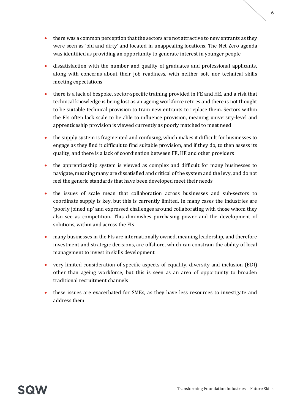- there was a common perception that the sectors are not attractive to new entrants as they were seen as 'old and dirty' and located in unappealing locations. The Net Zero agenda was identified as providing an opportunity to generate interest in younger people
- dissatisfaction with the number and quality of graduates and professional applicants, along with concerns about their job readiness, with neither soft nor technical skills meeting expectations
- there is a lack of bespoke, sector-specific training provided in FE and HE, and a risk that technical knowledge is being lost as an ageing workforce retires and there is not thought to be suitable technical provision to train new entrants to replace them. Sectors within the FIs often lack scale to be able to influence provision, meaning university-level and apprenticeship provision is viewed currently as poorly matched to meet need
- the supply system is fragmented and confusing, which makes it difficult for businesses to engage as they find it difficult to find suitable provision, and if they do, to then assess its quality, and there is a lack of coordination between FE, HE and other providers
- the apprenticeship system is viewed as complex and difficult for many businesses to navigate, meaning many are dissatisfied and critical of the system and the levy, and do not feel the generic standards that have been developed meet their needs
- the issues of scale mean that collaboration across businesses and sub-sectors to coordinate supply is key, but this is currently limited. In many cases the industries are 'poorly joined up' and expressed challenges around collaborating with those whom they also see as competition. This diminishes purchasing power and the development of solutions, within and across the FIs
- many businesses in the FIs are internationally owned, meaning leadership, and therefore investment and strategic decisions, are offshore, which can constrain the ability of local management to invest in skills development
- very limited consideration of specific aspects of equality, diversity and inclusion (EDI) other than ageing workforce, but this is seen as an area of opportunity to broaden traditional recruitment channels
- these issues are exacerbated for SMEs, as they have less resources to investigate and address them.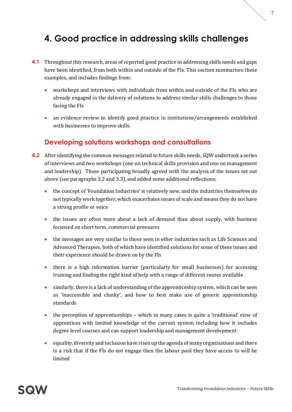## <span id="page-8-0"></span>**4. Good practice in addressing skills challenges**

- **4.1** Throughout this research, areas of reported good practice in addressing skills needs and gaps have been identified, from both within and outside of the FIs. This section summarises these examples, and includes findings from:
	- workshops and interviews with individuals from within and outside of the FIs who are already engaged in the delivery of solutions to address similar skills challenges to those facing the FIs
	- an evidence review to identify good practice in institutions/arrangements established with businesses to improve skills.

#### **Developing solutions workshops and consultations**

- **4.2** After identifying the common messages related to future skills needs, SQW undertook a series of interviews and two workshops (one on technical skills provision and one on management and leadership). Those participating broadly agreed with the analysis of the issues set out above (see paragraph[s 3.2](#page-6-1) an[d 3.3\)](#page-6-2), and added some additional reflections:
	- the concept of 'Foundation Industries' is relatively new, and the industries themselves do not typically work together, which exacerbates issues of scale and means they do not have a strong profile or voice
	- the issues are often more about a lack of demand than about supply, with business focussed on short term, commercial pressures
	- the messages are very similar to those seen in other industries such as Life Sciences and Advanced Therapies, both of which have identified solutions for some of these issues and their experience should be drawn on by the FIs
	- there is a high information barrier (particularly for small businesses) for accessing training and finding the right kind of help with a range of different routes available
	- similarly, there is a lack of understanding of the apprenticeship system, which can be seen as 'inaccessible and clunky', and how to best make use of generic apprenticeship standards
	- the perception of apprenticeships which in many cases is quite a 'traditional' view of apprentices with limited knowledge of the current system including how it includes degree level courses and can support leadership and management development
	- equality, diversity and inclusion have risen up the agenda of many organisations and there is a risk that if the FIs do not engage then the labour pool they have access to will be limited

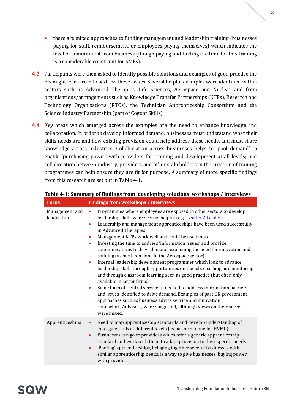- there are mixed approaches to funding management and leadership training (businesses paying for staff, reimbursement, or employees paying themselves) which indicates the level of commitment from business (though paying and finding the time for this training is a considerable constraint for SMEs).
- **4.3** Participants were then asked to identify possible solutions and examples of good practice the FIs might learn from to address these issues. Several helpful examples were identified within sectors such as Advanced Therapies, Life Sciences, Aerospace and Nuclear and from organisations/arrangements such as Knowledge Transfer Partnerships (KTPs), Research and Technology Organisations (RTOs), the Technician Apprenticeship Consortium and the Science Industry Partnership (part of Cogent Skills).
- **4.4** Key areas which emerged across the examples are the need to enhance knowledge and collaboration. In order to develop informed demand, businesses must understand what their skills needs are and how existing provision could help address these needs, and must share knowledge across industries. Collaboration across businesses helps to 'pool demand' to enable 'purchasing power' with providers for training and development at all levels; and collaboration between industry, providers and other stakeholders in the creation of training programmes can help ensure they are fit for purpose. A summary of more specific findings from this research are set out in [Table 4-1.](#page-9-0)

| <b>Focus</b>                 | <b>Findings from workshops / interviews</b>                                                                                                                                                                                                                                                                                                                                                                                                                                                                                                                                                                                                                                                                                                                                                                                                                                                                                                                                                                                                                                                                           |
|------------------------------|-----------------------------------------------------------------------------------------------------------------------------------------------------------------------------------------------------------------------------------------------------------------------------------------------------------------------------------------------------------------------------------------------------------------------------------------------------------------------------------------------------------------------------------------------------------------------------------------------------------------------------------------------------------------------------------------------------------------------------------------------------------------------------------------------------------------------------------------------------------------------------------------------------------------------------------------------------------------------------------------------------------------------------------------------------------------------------------------------------------------------|
| Management and<br>leadership | Programmes where employees are exposed to other sectors to develop<br>$\bullet$<br>leadership skills were seen as helpful (e.g., Leader 2 Leader)<br>Leadership and management apprenticeships have been used successfully<br>$\bullet$<br>in Advanced Therapies<br>Management KTPs work well and could be used more<br>٠<br>Investing the time to address 'information issues' and provide<br>٠<br>communications to drive demand, explaining the need for innovation and<br>training (as has been done in the Aerospace sector)<br>Internal leadership development programmes which look to advance<br>$\bullet$<br>leadership skills through opportunities on the job, coaching and mentoring<br>and through classroom learning seen as good practice (but often only<br>available in larger firms)<br>Some form of 'central service' is needed to address information barriers<br>۰<br>and issues identified to drive demand. Examples of past UK government<br>approaches such as business advice service and innovation<br>counsellors/advisers, were suggested, although views on their success<br>were mixed. |
| Apprenticeships              | Need to map apprenticeship standards and develop understanding of<br>$\bullet$<br>emerging skills at different levels (as has been done for HVMC)<br>Businesses can go to providers which offer a generic apprenticeship<br>$\bullet$<br>standard and work with them to adapt provision to their specific needs<br>'Pooling' apprenticeships, bringing together several businesses with<br>$\bullet$<br>similar apprenticeship needs, is a way to give businesses 'buying power'<br>with providers                                                                                                                                                                                                                                                                                                                                                                                                                                                                                                                                                                                                                    |

#### <span id="page-9-0"></span>**Table 4-1: Summary of findings from 'developing solutions' workshops / interviews**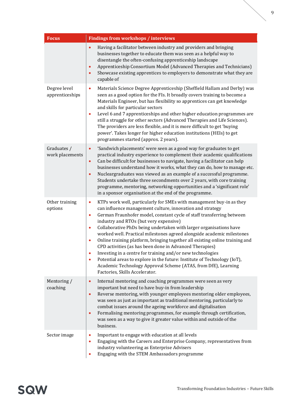| <b>Focus</b>                    | <b>Findings from workshops / interviews</b>                                                                                                                                                                                                                                                                                                                                                                                                                                                                                                                                                                                                                                                                                                                                                                                                       |
|---------------------------------|---------------------------------------------------------------------------------------------------------------------------------------------------------------------------------------------------------------------------------------------------------------------------------------------------------------------------------------------------------------------------------------------------------------------------------------------------------------------------------------------------------------------------------------------------------------------------------------------------------------------------------------------------------------------------------------------------------------------------------------------------------------------------------------------------------------------------------------------------|
|                                 | Having a facilitator between industry and providers and bringing<br>$\bullet$<br>businesses together to educate them was seen as a helpful way to<br>disentangle the often-confusing apprenticeship landscape<br>Apprenticeship Consortium Model (Advanced Therapies and Technicians)<br>$\bullet$<br>Showcase existing apprentices to employers to demonstrate what they are<br>$\bullet$<br>capable of                                                                                                                                                                                                                                                                                                                                                                                                                                          |
| Degree level<br>apprenticeships | Materials Science Degree Apprenticeship (Sheffield Hallam and Derby) was<br>$\bullet$<br>seen as a good option for the FIs. It broadly covers training to become a<br>Materials Engineer, but has flexibility so apprentices can get knowledge<br>and skills for particular sectors<br>Level 6 and 7 apprenticeships and other higher education programmes are<br>$\bullet$<br>still a struggle for other sectors (Advanced Therapies and Life Sciences).<br>The providers are less flexible, and it is more difficult to get 'buying<br>power'. Takes longer for higher education institutions (HEIs) to get<br>programmes started (approx. 2 years).                                                                                                                                                                                            |
| Graduates /<br>work placements  | 'Sandwich placements' were seen as a good way for graduates to get<br>$\bullet$<br>practical industry experience to complement their academic qualifications<br>Can be difficult for businesses to navigate, having a facilitator can help<br>$\bullet$<br>businesses understand how it works, what they can do, how to manage etc.<br>Nucleargraduates was viewed as an example of a successful programme.<br>$\bullet$<br>Students undertake three secondments over 2 years, with core training<br>programme, mentoring, networking opportunities and a 'significant role'<br>in a sponsor organisation at the end of the programme.                                                                                                                                                                                                            |
| Other training<br>options       | KTPs work well, particularly for SMEs with management buy-in as they<br>$\bullet$<br>can influence management culture, innovation and strategy<br>German Fraunhofer model, constant cycle of staff transferring between<br>$\bullet$<br>industry and RTOs (but very expensive)<br>Collaborative PhDs being undertaken with larger organisations have<br>$\bullet$<br>worked well. Practical milestones agreed alongside academic milestones<br>Online training platform, bringing together all existing online training and<br>$\bullet$<br>CPD activities (as has been done in Advanced Therapies)<br>Investing in a centre for training and/or new technologies<br>Potential areas to explore in the future: Institute of Technology (IoT),<br>Academic Technology Approval Scheme (ATAS, from DfE), Learning<br>Factories, Skills Accelerator. |
| Mentoring /<br>coaching         | Internal mentoring and coaching programmes were seen as very<br>$\bullet$<br>important but need to have buy-in from leadership<br>Reverse mentoring, with younger employees mentoring older employees,<br>$\bullet$<br>was seen as just as important as traditional mentoring, particularly to<br>combat issues around the ageing workforce and digitalisation<br>Formalising mentoring programmes, for example through certification,<br>$\bullet$<br>was seen as a way to give it greater value within and outside of the<br>business.                                                                                                                                                                                                                                                                                                          |
| Sector image                    | Important to engage with education at all levels<br>۰<br>Engaging with the Careers and Enterprise Company, representatives from<br>$\bullet$<br>industry volunteering as Enterprise Advisers<br>Engaging with the STEM Ambassadors programme                                                                                                                                                                                                                                                                                                                                                                                                                                                                                                                                                                                                      |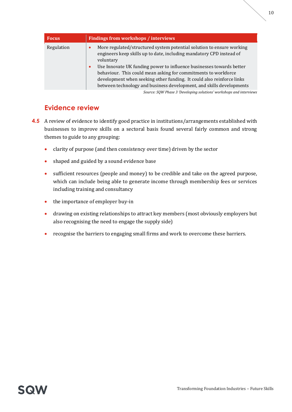| <b>Focus</b> | <b>Findings from workshops / interviews</b>                                                                                                                                                                                                                                                                                                                                                                                                                                     |
|--------------|---------------------------------------------------------------------------------------------------------------------------------------------------------------------------------------------------------------------------------------------------------------------------------------------------------------------------------------------------------------------------------------------------------------------------------------------------------------------------------|
| Regulation   | More regulated/structured system potential solution to ensure working<br>$\bullet$<br>engineers keep skills up to date, including mandatory CPD instead of<br>voluntary<br>Use Innovate UK funding power to influence businesses towards better<br>$\bullet$<br>behaviour. This could mean asking for commitments to workforce<br>development when seeking other funding. It could also reinforce links<br>between technology and business development, and skills developments |
|              | Source: SQW Phase 3 'Developing solutions' workshops and interviews                                                                                                                                                                                                                                                                                                                                                                                                             |

#### **Evidence review**

- **4.5** A review of evidence to identify good practice in institutions/arrangements established with businesses to improve skills on a sectoral basis found several fairly common and strong themes to guide to any grouping:
	- clarity of purpose (and then consistency over time) driven by the sector
	- shaped and guided by a sound evidence base
	- sufficient resources (people and money) to be credible and take on the agreed purpose, which can include being able to generate income through membership fees or services including training and consultancy
	- the importance of employer buy-in
	- drawing on existing relationships to attract key members (most obviously employers but also recognising the need to engage the supply side)
	- recognise the barriers to engaging small firms and work to overcome these barriers.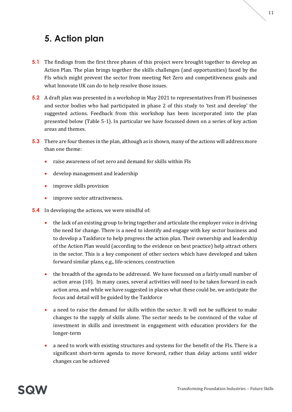## <span id="page-12-0"></span>**5. Action plan**

- **5.1** The findings from the first three phases of this project were brought together to develop an Action Plan. The plan brings together the skills challenges (and opportunities) faced by the FIs which might prevent the sector from meeting Net Zero and competitiveness goals and what Innovate UK can do to help resolve those issues.
- **5.2** A draft plan was presented in a workshop in May 2021 to representatives from FI businesses and sector bodies who had participated in phase 2 of this study to 'test and develop' the suggested actions. Feedback from this workshop has been incorporated into the plan presented below [\(Table 5-1\)](#page-14-0). In particular we have focussed down on a series of key action areas and themes.
- **5.3** There are four themes in the plan, although as is shown, many of the actions will address more than one theme:
	- raise awareness of net zero and demand for skills within FIs
	- develop management and leadership
	- improve skills provision
	- improve sector attractiveness.
- **5.4** In developing the actions, we were mindful of:
	- the lack of an existing group to bring together and articulate the employer voice in driving the need for change. There is a need to identify and engage with key sector business and to develop a Taskforce to help progress the action plan. Their ownership and leadership of the Action Plan would (according to the evidence on best practice) help attract others in the sector. This is a key component of other sectors which have developed and taken forward similar plans, e.g., life-sciences, construction
	- the breadth of the agenda to be addressed. We have focussed on a fairly small number of action areas (10). In many cases, several activities will need to be taken forward in each action area, and while we have suggested in places what these could be, we anticipate the focus and detail will be guided by the Taskforce
	- a need to raise the demand for skills within the sector. It will not be sufficient to make changes to the supply of skills alone. The sector needs to be convinced of the value of investment in skills and investment in engagement with education providers for the longer-term
	- a need to work with existing structures and systems for the benefit of the FIs. There is a significant short-term agenda to move forward, rather than delay actions until wider changes can be achieved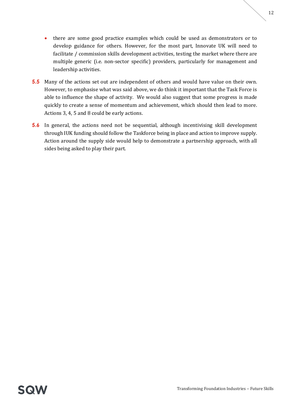- there are some good practice examples which could be used as demonstrators or to develop guidance for others. However, for the most part, Innovate UK will need to facilitate / commission skills development activities, testing the market where there are multiple generic (i.e. non-sector specific) providers, particularly for management and leadership activities.
- **5.5** Many of the actions set out are independent of others and would have value on their own. However, to emphasise what was said above, we do think it important that the Task Force is able to influence the shape of activity. We would also suggest that some progress is made quickly to create a sense of momentum and achievement, which should then lead to more. Actions 3, 4, 5 and 8 could be early actions.
- **5.6** In general, the actions need not be sequential, although incentivising skill development through IUK funding should follow the Taskforce being in place and action to improve supply. Action around the supply side would help to demonstrate a partnership approach, with all sides being asked to play their part.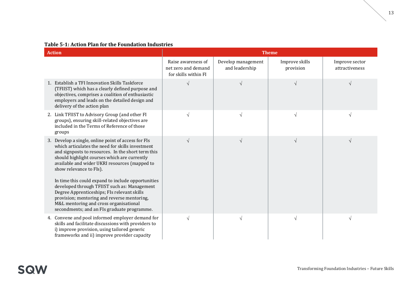#### **Table 5-1: Action Plan for the Foundation Industries**

<span id="page-14-0"></span>

| <b>Action</b>                                                                                                                                                                                                                                                                             |                                                                   |                                      | <b>Theme</b>                |                                  |
|-------------------------------------------------------------------------------------------------------------------------------------------------------------------------------------------------------------------------------------------------------------------------------------------|-------------------------------------------------------------------|--------------------------------------|-----------------------------|----------------------------------|
|                                                                                                                                                                                                                                                                                           | Raise awareness of<br>net zero and demand<br>for skills within FI | Develop management<br>and leadership | Improve skills<br>provision | Improve sector<br>attractiveness |
| 1. Establish a TFI Innovation Skills Taskforce<br>(TFIIST) which has a clearly defined purpose and<br>objectives, comprises a coalition of enthusiastic<br>employers and leads on the detailed design and<br>delivery of the action plan                                                  | $\sqrt{ }$                                                        | V                                    | $\sqrt{ }$                  | $\sqrt{ }$                       |
| 2. Link TFIIST to Advisory Group (and other FI<br>groups), ensuring skill-related objectives are<br>included in the Terms of Reference of those<br>groups                                                                                                                                 | $\sqrt{ }$                                                        | $\sqrt{}$                            | $\sqrt{ }$                  | $\sqrt{ }$                       |
| 3. Develop a single, online point of access for FIs<br>which articulates the need for skills investment<br>and signposts to resources. In the short term this<br>should highlight courses which are currently<br>available and wider UKRI resources (mapped to<br>show relevance to FIs). | $\sqrt{ }$                                                        | $\sqrt{}$                            | $\sqrt{ }$                  | $\sqrt{ }$                       |
| In time this could expand to include opportunities<br>developed through TFIIST such as: Management<br>Degree Apprenticeships; FIs relevant skills<br>provision; mentoring and reverse mentoring,<br>M&L mentoring and cross organisational<br>secondments; and an FIs graduate programme. |                                                                   |                                      |                             |                                  |
| 4. Convene and pool informed employer demand for<br>skills and facilitate discussions with providers to<br>i) improve provision, using tailored generic<br>frameworks and ii) improve provider capacity                                                                                   | $\sqrt{ }$                                                        | $\sqrt{}$                            | $\sqrt{ }$                  | $\sqrt{ }$                       |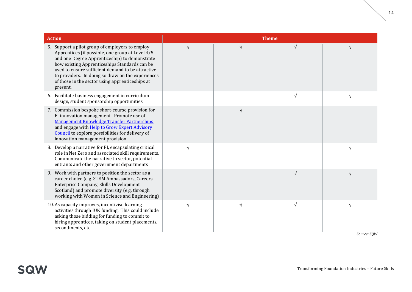| <b>Action</b>                                                                                                                                                                                                                                                                                                                                                                  |            |           | <b>Theme</b> |             |
|--------------------------------------------------------------------------------------------------------------------------------------------------------------------------------------------------------------------------------------------------------------------------------------------------------------------------------------------------------------------------------|------------|-----------|--------------|-------------|
| 5. Support a pilot group of employers to employ<br>Apprentices (if possible, one group at Level 4/5<br>and one Degree Apprenticeship) to demonstrate<br>how existing Apprenticeships Standards can be<br>used to ensure sufficient demand to be attractive<br>to providers. In doing so draw on the experiences<br>of those in the sector using apprenticeships at<br>present. | $\sqrt{ }$ | $\sqrt{}$ | $\sqrt{ }$   | N           |
| 6. Facilitate business engagement in curriculum<br>design, student sponsorship opportunities                                                                                                                                                                                                                                                                                   |            |           | $\sqrt{ }$   | $\sqrt{ }$  |
| 7. Commission bespoke short-course provision for<br>FI innovation management. Promote use of<br><b>Management Knowledge Transfer Partnerships</b><br>and engage with <b>Help to Grow Expert Advisory</b><br>Council to explore possibilities for delivery of<br>innovation management provision                                                                                |            | $\sqrt{}$ |              |             |
| 8. Develop a narrative for FI, encapsulating critical<br>role in Net Zero and associated skill requirements.<br>Communicate the narrative to sector, potential<br>entrants and other government departments                                                                                                                                                                    | $\sqrt{ }$ |           |              | $\sqrt{ }$  |
| 9. Work with partners to position the sector as a<br>career choice (e.g. STEM Ambassadors, Careers<br>Enterprise Company, Skills Development<br>Scotland) and promote diversity (e.g. through<br>working with Women in Science and Engineering)                                                                                                                                |            |           | V            | $\sqrt{ }$  |
| 10. As capacity improves, incentivise learning<br>activities through IUK funding. This could include<br>asking those bidding for funding to commit to<br>hiring apprentices, taking on student placements,<br>secondments, etc.                                                                                                                                                | $\sqrt{ }$ | V         | $\sqrt{ }$   | $\sqrt{ }$  |
|                                                                                                                                                                                                                                                                                                                                                                                |            |           |              | Source: SOW |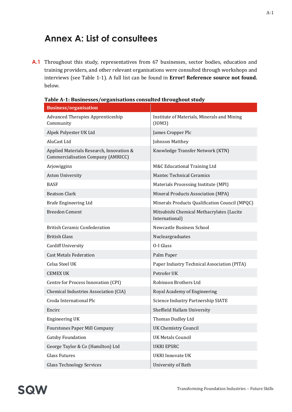## <span id="page-16-0"></span>**Annex A: List of consultees**

A.1 Throughout this study, representatives from 67 businesses, sector bodies, education and training providers, and other relevant organisations were consulted through workshops and interviews (see [Table 1-1\)](#page-2-1). A full list can be found in **Error! Reference source not found.** below.

| <b>Business/organisation</b>                                                          |                                                             |
|---------------------------------------------------------------------------------------|-------------------------------------------------------------|
| <b>Advanced Therapies Apprenticeship</b><br>Community                                 | Institute of Materials, Minerals and Mining<br>(10M3)       |
| Alpek Polyester UK Ltd                                                                | James Cropper Plc                                           |
| AluCast Ltd                                                                           | Johnson Matthey                                             |
| Applied Materials Research, Innovation &<br><b>Commercialisation Company (AMRICC)</b> | Knowledge Transfer Network (KTN)                            |
| Arjowiggins                                                                           | M&C Educational Training Ltd                                |
| <b>Aston University</b>                                                               | <b>Mantec Technical Ceramics</b>                            |
| <b>BASF</b>                                                                           | Materials Processing Institute (MPI)                        |
| <b>Beatson Clark</b>                                                                  | Mineral Products Association (MPA)                          |
| Brafe Engineering Ltd                                                                 | Minerals Products Qualification Council (MPQC)              |
| <b>Breedon Cement</b>                                                                 | Mitsubishi Chemical Methacrylates (Lucite<br>International) |
| <b>British Ceramic Confederation</b>                                                  | Newcastle Business School                                   |
| <b>British Glass</b>                                                                  | Nucleargraduates                                            |
| Cardiff University                                                                    | O-I Glass                                                   |
| <b>Cast Metals Federation</b>                                                         | Palm Paper                                                  |
| Celsa Steel UK                                                                        | Paper Industry Technical Association (PITA)                 |
| <b>CEMEX UK</b>                                                                       | Petrofer UK                                                 |
| Centre for Process Innovation (CPI)                                                   | Robinson Brothers Ltd                                       |
| Chemical Industries Association (CIA)                                                 | Royal Academy of Engineering                                |
| Croda International Plc                                                               | Science Industry Partnership SIATE                          |
| Encirc                                                                                | Sheffield Hallam University                                 |
| <b>Engineering UK</b>                                                                 | Thomas Dudley Ltd                                           |
| Fourstones Paper Mill Company                                                         | <b>UK Chemistry Council</b>                                 |
| <b>Gatsby Foundation</b>                                                              | <b>UK Metals Council</b>                                    |
| George Taylor & Co (Hamilton) Ltd                                                     | <b>UKRI EPSRC</b>                                           |
| <b>Glass Futures</b>                                                                  | <b>UKRI</b> Innovate UK                                     |
| <b>Glass Technology Services</b>                                                      | University of Bath                                          |

**Table A-1: Businesses/organisations consulted throughout study**

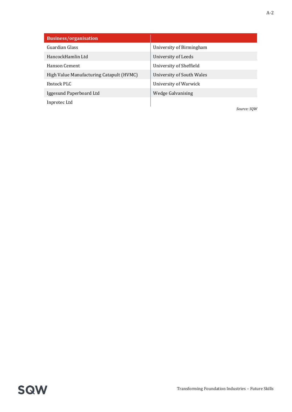| <b>Business/organisation</b>             |                           |
|------------------------------------------|---------------------------|
| Guardian Glass                           | University of Birmingham  |
| HancockHamlin Ltd                        | University of Leeds       |
| Hanson Cement                            | University of Sheffield   |
| High Value Manufacturing Catapult (HVMC) | University of South Wales |
| Ibstock PLC                              | University of Warwick     |
| Iggesund Paperboard Ltd                  | Wedge Galvanising         |
| Inprotec Ltd                             |                           |

*Source: SQW*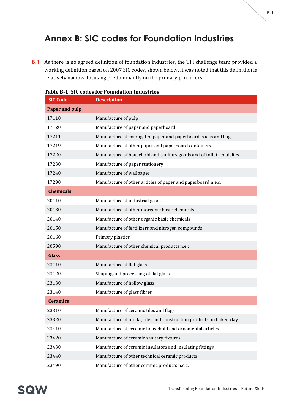## <span id="page-18-0"></span>**Annex B: SIC codes for Foundation Industries**

**B.1** As there is no agreed definition of foundation industries, the TFI challenge team provided a working definition based on 2007 SIC codes, shown below. It was noted that this definition is relatively narrow, focusing predominantly on the primary producers.

| <b>SIC Code</b>       | <b>Description</b>                                                    |
|-----------------------|-----------------------------------------------------------------------|
| <b>Paper and pulp</b> |                                                                       |
| 17110                 | Manufacture of pulp                                                   |
| 17120                 | Manufacture of paper and paperboard                                   |
| 17211                 | Manufacture of corrugated paper and paperboard, sacks and bags        |
| 17219                 | Manufacture of other paper and paperboard containers                  |
| 17220                 | Manufacture of household and sanitary goods and of toilet requisites  |
| 17230                 | Manufacture of paper stationery                                       |
| 17240                 | Manufacture of wallpaper                                              |
| 17290                 | Manufacture of other articles of paper and paperboard n.e.c.          |
| <b>Chemicals</b>      |                                                                       |
| 20110                 | Manufacture of industrial gases                                       |
| 20130                 | Manufacture of other inorganic basic chemicals                        |
| 20140                 | Manufacture of other organic basic chemicals                          |
| 20150                 | Manufacture of fertilizers and nitrogen compounds                     |
| 20160                 | Primary plastics                                                      |
| 20590                 | Manufacture of other chemical products n.e.c.                         |
| <b>Glass</b>          |                                                                       |
| 23110                 | Manufacture of flat glass                                             |
| 23120                 | Shaping and processing of flat glass                                  |
| 23130                 | Manufacture of hollow glass                                           |
| 23140                 | Manufacture of glass fibres                                           |
| <b>Ceramics</b>       |                                                                       |
| 23310                 | Manufacture of ceramic tiles and flags                                |
| 23320                 | Manufacture of bricks, tiles and construction products, in baked clay |
| 23410                 | Manufacture of ceramic household and ornamental articles              |
| 23420                 | Manufacture of ceramic sanitary fixtures                              |
| 23430                 | Manufacture of ceramic insulators and insulating fittings             |
| 23440                 | Manufacture of other technical ceramic products                       |
| 23490                 | Manufacture of other ceramic products n.e.c.                          |

#### **Table B-1: SIC codes for Foundation Industries**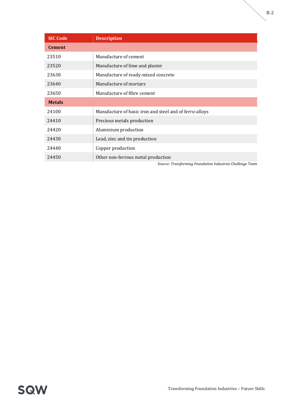| <b>SIC Code</b> | <b>Description</b>                                        |
|-----------------|-----------------------------------------------------------|
| <b>Cement</b>   |                                                           |
| 23510           | Manufacture of cement                                     |
| 23520           | Manufacture of lime and plaster                           |
| 23630           | Manufacture of ready-mixed concrete                       |
| 23640           | Manufacture of mortars                                    |
| 23650           | Manufacture of fibre cement                               |
| <b>Metals</b>   |                                                           |
| 24100           | Manufacture of basic iron and steel and of ferro-alloys   |
| 24410           | Precious metals production                                |
| 24420           | Aluminium production                                      |
| 24430           | Lead, zinc and tin production                             |
| 24440           | Copper production                                         |
| 24450           | Other non-ferrous metal production                        |
|                 | Source: Transforming Foundation Industries Challenge Team |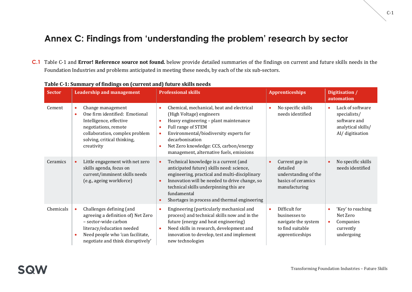## **Annex C: Findings from 'understanding the problem' research by sector**

**C.1** [Table C-1](#page-20-1) and **Error! Reference source not found.** below provide detailed summaries of the findings on current and future skills needs in the Foundation Industries and problems anticipated in meeting these needs, by each of the six sub-sectors.

<span id="page-20-0"></span>

| <b>Sector</b> |                | <b>Leadership and management</b>                                                                                                                                                             |                                                       | <b>Professional skills</b>                                                                                                                                                                                                                                                                    | <b>Apprenticeships</b>                                                                       |           | Digitisation /<br>automation                                                               |
|---------------|----------------|----------------------------------------------------------------------------------------------------------------------------------------------------------------------------------------------|-------------------------------------------------------|-----------------------------------------------------------------------------------------------------------------------------------------------------------------------------------------------------------------------------------------------------------------------------------------------|----------------------------------------------------------------------------------------------|-----------|--------------------------------------------------------------------------------------------|
| Cement        | $\bullet$<br>۰ | Change management<br>One firm identified: Emotional<br>Intelligence, effective<br>negotiations, remote<br>collaboration, complex problem<br>solving, critical thinking,<br>creativity        | $\bullet$<br>$\bullet$<br>$\bullet$<br>$\bullet$<br>۰ | Chemical, mechanical, heat and electrical<br>(High Voltage) engineers<br>Heavy engineering - plant maintenance<br>Full range of STEM<br>Environmental/biodiversity experts for<br>decarbonisation<br>Net Zero knowledge: CCS, carbon/energy<br>management, alternative fuels, emissions       | No specific skills<br>needs identified                                                       |           | Lack of software<br>specialists/<br>software and<br>analytical skills/<br>AI/ digitisation |
| Ceramics      |                | Little engagement with net zero<br>skills agenda, focus on<br>current/imminent skills needs<br>(e.g., ageing workforce)                                                                      | $\bullet$<br>$\bullet$                                | Technical knowledge is a current (and<br>anticipated future) skills need: science,<br>engineering, practical and multi-disciplinary<br>Innovation will be needed to drive change, so<br>technical skills underpinning this are<br>fundamental<br>Shortages in process and thermal engineering | Current gap in<br>detailed<br>understanding of the<br>basics of ceramics<br>manufacturing    | $\bullet$ | No specific skills<br>needs identified                                                     |
| Chemicals     | $\bullet$      | Challenges defining (and<br>agreeing a definition of) Net Zero<br>- sector-wide carbon<br>literacy/education needed<br>Need people who 'can facilitate,<br>negotiate and think disruptively' | $\bullet$<br>$\bullet$                                | Engineering (particularly mechanical and<br>process) and technical skills now and in the<br>future (energy and heat engineering)<br>Need skills in research, development and<br>innovation to develop, test and implement<br>new technologies                                                 | Difficult for<br>businesses to<br>navigate the system<br>to find suitable<br>apprenticeships | $\bullet$ | 'Key' to reaching<br>Net Zero<br>Companies<br>currently<br>undergoing                      |

#### <span id="page-20-1"></span>**Table C-1: Summary of findings on (current and) future skills needs**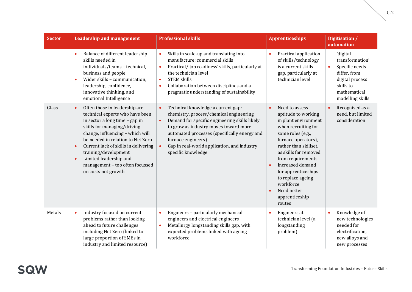| <b>Sector</b> | <b>Leadership and management</b>                                                                                                                                                                                                                                                                                                                                                                      | <b>Professional skills</b>                                                                                                                                                                                                                                                                                                                                | <b>Apprenticeships</b>                                                                                                                                                                                                                                                                                                                                                 | Digitisation /<br>automation                                                                                                                   |
|---------------|-------------------------------------------------------------------------------------------------------------------------------------------------------------------------------------------------------------------------------------------------------------------------------------------------------------------------------------------------------------------------------------------------------|-----------------------------------------------------------------------------------------------------------------------------------------------------------------------------------------------------------------------------------------------------------------------------------------------------------------------------------------------------------|------------------------------------------------------------------------------------------------------------------------------------------------------------------------------------------------------------------------------------------------------------------------------------------------------------------------------------------------------------------------|------------------------------------------------------------------------------------------------------------------------------------------------|
|               | Balance of different leadership<br>$\bullet$<br>skills needed in<br>individuals/teams - technical,<br>business and people<br>Wider skills - communication,<br>$\bullet$<br>leadership, confidence,<br>innovative thinking, and<br>emotional Intelligence                                                                                                                                              | Skills in scale-up and translating into<br>$\bullet$<br>manufacture; commercial skills<br>Practical/'job readiness' skills, particularly at<br>$\bullet$<br>the technician level<br><b>STEM skills</b><br>$\bullet$<br>Collaboration between disciplines and a<br>$\bullet$<br>pragmatic understanding of sustainability                                  | Practical application<br>$\bullet$<br>of skills/technology<br>is a current skills<br>gap, particularly at<br>technician level                                                                                                                                                                                                                                          | 'digital<br>transformation'<br>Specific needs<br>$\bullet$<br>differ, from<br>digital process<br>skills to<br>mathematical<br>modelling skills |
| Glass         | Often those in leadership are<br>$\bullet$<br>technical experts who have been<br>in sector a long time - gap in<br>skills for managing/driving<br>change, influencing - which will<br>be needed in relation to Net Zero<br>Current lack of skills in delivering<br>$\bullet$<br>training/development<br>Limited leadership and<br>$\bullet$<br>management - too often focussed<br>on costs not growth | Technical knowledge a current gap:<br>$\bullet$<br>chemistry, process/chemical engineering<br>Demand for specific engineering skills likely<br>$\bullet$<br>to grow as industry moves toward more<br>automated processes (specifically energy and<br>furnace engineers)<br>Gap in real-world application, and industry<br>$\bullet$<br>specific knowledge | Need to assess<br>$\bullet$<br>aptitude to working<br>in plant environment<br>when recruiting for<br>some roles (e.g.,<br>furnace operators),<br>rather than skillset,<br>as skills far removed<br>from requirements<br>Increased demand<br>$\bullet$<br>for apprenticeships<br>to replace ageing<br>workforce<br>Need better<br>$\bullet$<br>apprenticeship<br>routes | Recognised as a<br>$\bullet$<br>need, but limited<br>consideration                                                                             |
| Metals        | Industry focused on current<br>$\bullet$<br>problems rather than looking<br>ahead to future challenges<br>including Net Zero (linked to<br>large proportion of SMEs in<br>industry and limited resource)                                                                                                                                                                                              | Engineers - particularly mechanical<br>$\bullet$<br>engineers and electrical engineers<br>Metallurgy longstanding skills gap, with<br>$\bullet$<br>expected problems linked with ageing<br>workforce                                                                                                                                                      | Engineers at<br>$\bullet$<br>technician level (a<br>longstanding<br>problem)                                                                                                                                                                                                                                                                                           | Knowledge of<br>$\bullet$<br>new technologies<br>needed for<br>electrification,<br>new alloys and<br>new processes                             |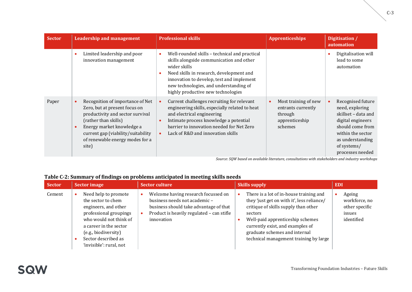| <b>Sector</b> | <b>Leadership and management</b>                                                                                                                                                                                                             |                        | <b>Professional skills</b>                                                                                                                                                                                                                                                         | <b>Apprenticeships</b>                                                             | Digitisation /<br>automation                                                                                                                                                     |
|---------------|----------------------------------------------------------------------------------------------------------------------------------------------------------------------------------------------------------------------------------------------|------------------------|------------------------------------------------------------------------------------------------------------------------------------------------------------------------------------------------------------------------------------------------------------------------------------|------------------------------------------------------------------------------------|----------------------------------------------------------------------------------------------------------------------------------------------------------------------------------|
|               | Limited leadership and poor<br>innovation management                                                                                                                                                                                         |                        | Well-rounded skills - technical and practical<br>skills alongside communication and other<br>wider skills<br>Need skills in research, development and<br>innovation to develop, test and implement<br>new technologies, and understanding of<br>highly productive new technologies |                                                                                    | Digitalisation will<br>lead to some<br>automation                                                                                                                                |
| Paper         | Recognition of importance of Net<br>Zero, but at present focus on<br>productivity and sector survival<br>(rather than skills)<br>Energy market knowledge a<br>current gap (viability/suitability<br>of renewable energy modes for a<br>site) | $\bullet$<br>$\bullet$ | Current challenges recruiting for relevant<br>engineering skills, especially related to heat<br>and electrical engineering<br>Intimate process knowledge a potential<br>barrier to innovation needed for Net Zero<br>Lack of R&D and innovation skills                             | Most training of new<br>entrants currently<br>through<br>apprenticeship<br>schemes | Recognised future<br>need, exploring<br>skillset - data and<br>digital engineers<br>should come from<br>within the sector<br>as understanding<br>of systems/<br>processes needed |

*Source: SQW based on available literature, consultations with stakeholders and industry workshops*

#### **Table C-2: Summary of findings on problems anticipated in meeting skills needs**

| <b>Sector</b> | <b>Sector image</b>                                                                                                                                                                                                        | <b>Sector culture</b>                                                                                                                                                     | <b>Skills supply</b>                                                                                                                                                                                                                                                                        | <b>EDI</b>                                                        |
|---------------|----------------------------------------------------------------------------------------------------------------------------------------------------------------------------------------------------------------------------|---------------------------------------------------------------------------------------------------------------------------------------------------------------------------|---------------------------------------------------------------------------------------------------------------------------------------------------------------------------------------------------------------------------------------------------------------------------------------------|-------------------------------------------------------------------|
| Cement        | Need help to promote<br>the sector to chem<br>engineers, and other<br>professional groupings<br>who would not think of<br>a career in the sector<br>(e.g., biodiversity)<br>Sector described as<br>'invisible': rural, not | Welcome having research focussed on<br>business needs not academic -<br>business should take advantage of that<br>Product is heavily regulated - can stifle<br>innovation | There is a lot of in-house training and<br>they 'just get on with it', less reliance/<br>critique of skills supply than other<br>sectors<br>Well-paid apprenticeship schemes<br>currently exist, and examples of<br>graduate schemes and internal<br>technical management training by large | Ageing<br>workforce, no<br>other specific<br>issues<br>identified |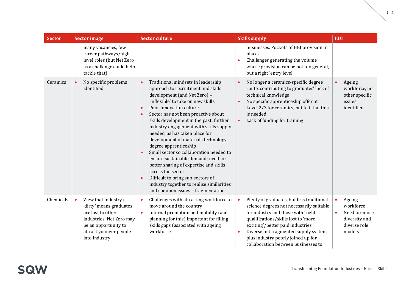| <b>Sector</b> | <b>Sector image</b>                                                                                                                                                               | <b>Sector culture</b>                                                                                                                                                                                                                                                                                                                                                                                                                                                                                                                                                                                                                                                                                                                | <b>Skills supply</b>                                                                                                                                                                                                                                                                                                                                    | <b>EDI</b>                                                                                                |
|---------------|-----------------------------------------------------------------------------------------------------------------------------------------------------------------------------------|--------------------------------------------------------------------------------------------------------------------------------------------------------------------------------------------------------------------------------------------------------------------------------------------------------------------------------------------------------------------------------------------------------------------------------------------------------------------------------------------------------------------------------------------------------------------------------------------------------------------------------------------------------------------------------------------------------------------------------------|---------------------------------------------------------------------------------------------------------------------------------------------------------------------------------------------------------------------------------------------------------------------------------------------------------------------------------------------------------|-----------------------------------------------------------------------------------------------------------|
|               | many vacancies, few<br>career pathways/high<br>level roles (but Net Zero<br>as a challenge could help<br>tackle that)                                                             |                                                                                                                                                                                                                                                                                                                                                                                                                                                                                                                                                                                                                                                                                                                                      | businesses. Pockets of HEI provision in<br>places.<br>Challenges generating the volume<br>٠<br>where provision can be not too general,<br>but a right 'entry level'                                                                                                                                                                                     |                                                                                                           |
| Ceramics      | No specific problems<br>identified                                                                                                                                                | Traditional mindsets in leadership,<br>$\bullet$<br>approach to recruitment and skills<br>development (and Net Zero) -<br>'inflexible' to take on new skills<br>Poor innovation culture<br>$\bullet$<br>Sector has not been proactive about<br>$\bullet$<br>skills development in the past; further<br>industry engagement with skills supply<br>needed, as has taken place for<br>development of materials technology<br>degree apprenticeship<br>Small sector so collaboration needed to<br>$\bullet$<br>ensure sustainable demand; need for<br>better sharing of expertise and skills<br>across the sector<br>Difficult to bring sub-sectors of<br>industry together to realise similarities<br>and common issues - fragmentation | No longer a ceramics-specific degree<br>$\bullet$<br>route, contributing to graduates' lack of<br>technical knowledge<br>No specific apprenticeship offer at<br>$\bullet$<br>Level 2/3 for ceramics, but felt that this<br>is needed<br>Lack of funding for training<br>$\bullet$                                                                       | Ageing<br>$\bullet$<br>workforce, no<br>other specific<br>issues<br>identified                            |
| Chemicals     | View that industry is<br>$\bullet$<br>'dirty' means graduates<br>are lost to other<br>industries; Net Zero may<br>be an opportunity to<br>attract younger people<br>into industry | Challenges with attracting workforce to<br>$\bullet$<br>move around the country<br>Internal promotion and mobility (and<br>planning for this) important for filling<br>skills gaps (associated with ageing<br>workforce)                                                                                                                                                                                                                                                                                                                                                                                                                                                                                                             | Plenty of graduates, but less traditional<br>$\bullet$<br>science degrees not necessarily suitable<br>for industry and those with 'right'<br>qualifications/skills lost to 'more<br>exciting'/better paid industries<br>Diverse but fragmented supply system,<br>$\bullet$<br>plus industry poorly joined up for<br>collaboration between businesses to | $\bullet$<br>Ageing<br>workforce<br>Need for more<br>$\bullet$<br>diversity and<br>diverse role<br>models |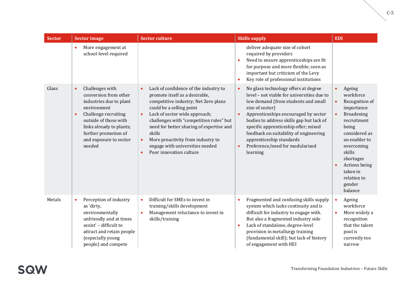| <b>Sector</b> | <b>Sector image</b>                                                                                                                                                                                                                                   | <b>Sector culture</b>                                                                                                                                                                                                                                                                                                                                                                                                                | <b>Skills supply</b><br><b>EDI</b>                                                                                                                                                                                                                                                                                                                                                                                                   |                                                                                                                                                                                                                                                                          |  |  |
|---------------|-------------------------------------------------------------------------------------------------------------------------------------------------------------------------------------------------------------------------------------------------------|--------------------------------------------------------------------------------------------------------------------------------------------------------------------------------------------------------------------------------------------------------------------------------------------------------------------------------------------------------------------------------------------------------------------------------------|--------------------------------------------------------------------------------------------------------------------------------------------------------------------------------------------------------------------------------------------------------------------------------------------------------------------------------------------------------------------------------------------------------------------------------------|--------------------------------------------------------------------------------------------------------------------------------------------------------------------------------------------------------------------------------------------------------------------------|--|--|
|               | More engagement at<br>$\bullet$<br>school-level required                                                                                                                                                                                              |                                                                                                                                                                                                                                                                                                                                                                                                                                      | deliver adequate size of cohort<br>required by providers<br>Need to ensure apprenticeships are fit<br>for purpose and more flexible; seen as<br>important but criticism of the Levy<br>Key role of professional institutions<br>$\bullet$                                                                                                                                                                                            |                                                                                                                                                                                                                                                                          |  |  |
| Glass         | Challenges with<br>$\bullet$<br>conversion from other<br>industries due to plant<br>environment<br>Challenge recruiting<br>$\bullet$<br>outside of those with<br>links already to plants;<br>further promotion of<br>and exposure to sector<br>needed | Lack of confidence of the industry to<br>$\bullet$<br>promote itself as a desirable,<br>competitive industry; Net Zero plans<br>could be a selling point<br>Lack of sector wide approach;<br>$\bullet$<br>challenges with "competition rules" but<br>need for better sharing of expertise and<br>skills<br>More proactivity from industry to<br>$\bullet$<br>engage with universities needed<br>Poor innovation culture<br>$\bullet$ | No glass technology offers at degree<br>$\bullet$<br>level - not viable for universities due to<br>low demand (from students and small<br>size of sector)<br>Apprenticeships encouraged by sector<br>$\bullet$<br>bodies to address skills gap but lack of<br>specific apprenticeship offer; mixed<br>feedback on suitability of engineering<br>apprenticeship standards<br>Preference/need for modularised<br>$\bullet$<br>learning | Ageing<br>$\bullet$<br>workforce<br>Recognition of<br>$\bullet$<br>importance<br>Broadening<br>$\bullet$<br>recruitment<br>being<br>considered as<br>an enabler to<br>overcoming<br>skills<br>shortages<br>Actions being<br>taken in<br>relation to<br>gender<br>balance |  |  |
| Metals        | Perception of industry<br>$\bullet$<br>as 'dirty,<br>environmentally<br>unfriendly and at times<br>sexist' - difficult to<br>attract and retain people<br>(especially young<br>people) and compete                                                    | Difficult for SMEs to invest in<br>$\bullet$<br>training/skills development<br>Management reluctance to invest in<br>$\bullet$<br>skills/training                                                                                                                                                                                                                                                                                    | Fragmented and confusing skills supply<br>$\bullet$<br>system which lacks continuity and is<br>difficult for industry to engage with.<br>But also a fragmented industry side<br>Lack of standalone, degree-level<br>$\bullet$<br>provision in metallurgy training<br>(fundamental skill); but lack of history<br>of engagement with HEI                                                                                              | Ageing<br>$\bullet$<br>workforce<br>More widely a<br>$\bullet$<br>recognition<br>that the talent<br>pool is<br>currently too<br>narrow                                                                                                                                   |  |  |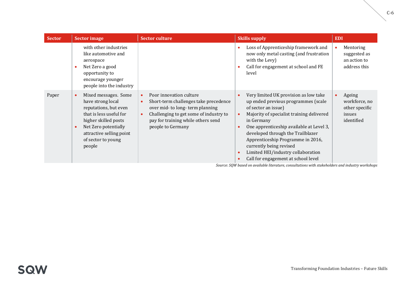| <b>Sector</b> | <b>Sector image</b>                                                                                                                                                                                                                 | <b>Sector culture</b>                                                                                                                                                                                                                           | <b>Skills supply</b>                                                                                                                                                                                                                                                                                                                                                                                                                             | <b>EDI</b>                                                        |
|---------------|-------------------------------------------------------------------------------------------------------------------------------------------------------------------------------------------------------------------------------------|-------------------------------------------------------------------------------------------------------------------------------------------------------------------------------------------------------------------------------------------------|--------------------------------------------------------------------------------------------------------------------------------------------------------------------------------------------------------------------------------------------------------------------------------------------------------------------------------------------------------------------------------------------------------------------------------------------------|-------------------------------------------------------------------|
|               | with other industries<br>like automotive and<br>aerospace<br>Net Zero a good<br>$\bullet$<br>opportunity to<br>encourage younger<br>people into the industry                                                                        |                                                                                                                                                                                                                                                 | Loss of Apprenticeship framework and<br>$\bullet$<br>now only metal casting (and frustration<br>with the Levy)<br>Call for engagement at school and FE<br>$\bullet$<br>level                                                                                                                                                                                                                                                                     | Mentoring<br>suggested as<br>an action to<br>address this         |
| Paper         | Mixed messages. Some<br>$\bullet$<br>have strong local<br>reputations, but even<br>that is less useful for<br>higher skilled posts<br>Net Zero potentially<br>$\bullet$<br>attractive selling point<br>of sector to young<br>people | Poor innovation culture<br>$\bullet$<br>Short-term challenges take precedence<br>$\bullet$<br>over mid- to long-term planning<br>Challenging to get some of industry to<br>$\bullet$<br>pay for training while others send<br>people to Germany | Very limited UK provision as low take<br>$\bullet$<br>up ended previous programmes (scale<br>of sector an issue)<br>Majority of specialist training delivered<br>$\bullet$<br>in Germany<br>One apprenticeship available at Level 3,<br>$\bullet$<br>developed through the Trailblazer<br>Apprenticeship Programme in 2016,<br>currently being revised<br>Limited HEI/industry collaboration<br>$\bullet$<br>Call for engagement at school level | Ageing<br>workforce, no<br>other specific<br>issues<br>identified |

*Source: SQW based on available literature, consultations with stakeholders and industry workshops*